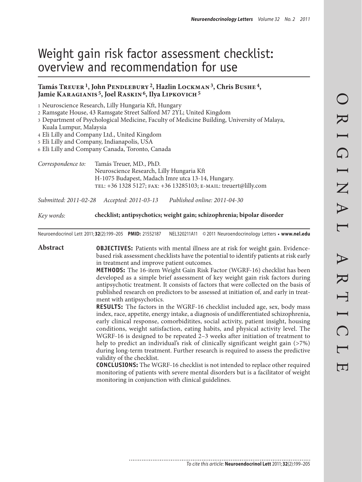# Weight gain risk factor assessment checklist: overview and recommendation for use

# **Tamás Treuer 1, John Pendlebury 2, Hazlin Lockman 3, Chris Bushe 4,**  Jamie KARAGIANIS<sup>5</sup>, Joel RASKIN<sup>6</sup>, Ilya LIPKOVICH<sup>5</sup>

1 Neuroscience Research, Lilly Hungaria Kft, Hungary

2 Ramsgate House, 43 Ramsgate Street Salford M7 2YL; United Kingdom

3 Department of Psychological Medicine, Faculty of Medicine Building, University of Malaya, Kuala Lumpur, Malaysia

4 Eli Lilly and Company Ltd., United Kingdom

5 Eli Lilly and Company, Indianapolis, USA

6 Eli Lilly and Company Canada, Toronto, Canada

*Correspondence to:* Tamás Treuer, MD., PhD. Neuroscience Research, Lilly Hungaria Kft H-1075 Budapest, Madach Imre utca 13-14, Hungary. tel: +36 1328 5127; fax: +36 13285103; e-mail: treuert@lilly.com

*Submitted: 2011-02-28 Accepted: 2011-03-13 Published online: 2011-04-30*

*Key words:* **checklist; antipsychotics; weight gain; schizophrenia; bipolar disorder** 

Neuroendocrinol Lett 2011; **32**(2):199–205 **PMID:** 21552187 NEL320211A11 © 2011 Neuroendocrinology Letters • **www.nel.edu**

Abstract **OBJECTIVES:** Patients with mental illness are at risk for weight gain. Evidencebased risk assessment checklists have the potential to identify patients at risk early in treatment and improve patient outcomes.

> **METHODS:** The 16-item Weight Gain Risk Factor (WGRF-16) checklist has been developed as a simple brief assessment of key weight gain risk factors during antipsychotic treatment. It consists of factors that were collected on the basis of published research on predictors to be assessed at initiation of, and early in treatment with antipsychotics.

> **RESULTS:** The factors in the WGRF-16 checklist included age, sex, body mass index, race, appetite, energy intake, a diagnosis of undifferentiated schizophrenia, early clinical response, comorbiditites, social activity, patient insight, housing conditions, weight satisfaction, eating habits, and physical activity level. The WGRF-16 is designed to be repeated 2–3 weeks after initiation of treatment to help to predict an individual's risk of clinically significant weight gain (>7%) during long-term treatment. Further research is required to assess the predictive validity of the checklist.

> **CONCLUSIONS:** The WGRF-16 checklist is not intended to replace other required monitoring of patients with severe mental disorders but is a facilitator of weight monitoring in conjunction with clinical guidelines.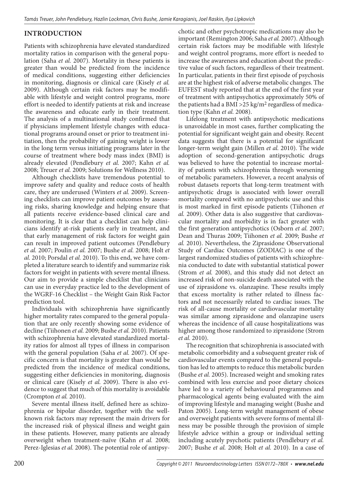# **INTRODUCTION**

Patients with schizophrenia have elevated standardized mortality ratios in comparison with the general population (Saha *et al.* 2007). Mortality in these patients is greater than would be predicted from the incidence of medical conditions, suggesting either deficiencies in monitoring, diagnosis or clinical care (Kisely *et al.* 2009). Although certain risk factors may be modifiable with lifestyle and weight control programs, more effort is needed to identify patients at risk and increase the awareness and educate early in their treatment. The analysis of a multinational study confirmed that if physicians implement lifestyle changes with educational programs around onset or prior to treatment initiation, then the probability of gaining weight is lower in the long term versus initiating programs later in the course of treatment where body mass index (BMI) is already elevated (Pendlebury *et al.* 2007; Kahn *et al.* 2008; Treuer *et al.* 2009; Solutions for Wellness 2010).

Although checklists have tremendous potential to improve safety and quality and reduce costs of health care, they are underused (Winters *et al.* 2009). Screening checklists can improve patient outcomes by assessing risks, sharing knowledge and helping ensure that all patients receive evidence-based clinical care and monitoring. It is clear that a checklist can help clinicians identify at-risk patients early in treatment, and that early management of risk factors for weight gain can result in improved patient outcomes (Pendlebury *et al.* 2007; Poulin *et al.* 2007; Bushe *et al.* 2008; Holt *et al.* 2010; Porsdal *et al.* 2010). To this end, we have completed a literature search to identify and summarize risk factors for weight in patients with severe mental illness. Our aim to provide a simple checklist that clinicians can use in everyday practice led to the development of the WGRF-16 Checklist – the Weight Gain Risk Factor prediction tool.

Individuals with schizophrenia have significantly higher mortality rates compared to the general population that are only recently showing some evidence of decline (Tiihonen *et al.* 2009; Bushe *et al.* 2010). Patients with schizophrenia have elevated standardized mortality ratios for almost all types of illness in comparison with the general population (Saha *et al.* 2007). Of specific concern is that mortality is greater than would be predicted from the incidence of medical conditions, suggesting either deficiencies in monitoring, diagnosis or clinical care (Kisely *et al.* 2009). There is also evidence to suggest that much of this mortality is avoidable (Crompton *et al.* 2010).

Severe mental illness itself, defined here as schizophrenia or bipolar disorder, together with the wellknown risk factors may represent the main drivers for the increased risk of physical illness and weight gain in these patients. However, many patients are already overweight when treatment-naïve (Kahn *et al.* 2008; Perez-Iglesias *et al.* 2008). The potential role of antipsychotic and other psychotropic medications may also be important (Remington 2006; Saha *et al.* 2007). Although certain risk factors may be modifiable with lifestyle and weight control programs, more effort is needed to increase the awareness and education about the predictive value of such factors, regardless of their treatment. In particular, patients in their first episode of psychosis are at the highest risk of adverse metabolic changes. The EUFEST study reported that at the end of the first year of treatment with antipsychotics approximately 50% of the patients had a BMI >  $25 \text{ kg/m}^2$  regardless of medication type (Kahn *et al.* 2008).

Lifelong treatment with antipsychotic medications is unavoidable in most cases, further complicating the potential for significant weight gain and obesity. Recent data suggests that there is a potential for significant longer-term weight gain (Millen *et al.* 2010). The wide adoption of second-generation antipsychotic drugs was believed to have the potential to increase mortality of patients with schizophrenia through worsening of metabolic parameters. However, a recent analysis of robust datasets reports that long-term treatment with antipsychotic drugs is associated with lower overall mortality compared with no antipsychotic use and this is most marked in first episode patients (Tiihonen *et al.* 2009). Other data is also suggestive that cardiovascular mortality and morbidity is in fact greater with the first generation antipsychotics (Osborn *et al.* 2007; Dean and Thuras 2009; Tiihonen *et al.* 2009; Bushe *et al.* 2010). Nevertheless, the Ziprasidone Observational Study of Cardiac Outcomes (ZODIAC) is one of the largest randomized studies of patients with schizophrenia conducted to date with substantial statistical power (Strom *et al.* 2008), and this study did not detect an increased risk of non-suicide death associated with the use of ziprasidone vs. olanzapine. These results imply that excess mortality is rather related to illness factors and not necessarily related to cardiac issues. The risk of all-cause mortality or cardiovascular mortality was similar among ziprasidone and olanzapine users whereas the incidence of all cause hospitalizations was higher among those randomized to ziprasidone (Strom *et al.* 2010).

The recognition that schizophrenia is associated with metabolic comorbidity and a subsequent greater risk of cardiovascular events compared to the general population has led to attempts to reduce this metabolic burden (Bushe *et al.* 2005). Increased weight and smoking rates combined with less exercise and poor dietary choices have led to a variety of behavioural programmes and pharmacological agents being evaluated with the aim of improving lifestyle and managing weight (Bushe and Paton 2005). Long-term weight management of obese and overweight patients with severe forms of mental illness may be possible through the provision of simple lifestyle advice within a group or individual setting including acutely psychotic patients (Pendlebury *et al.* 2007; Bushe *et al.* 2008; Holt *et al.* 2010). In a case of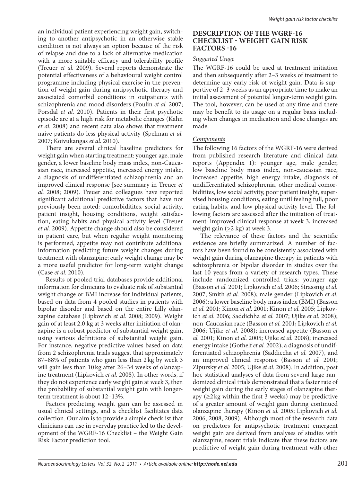an individual patient experiencing weight gain, switching to another antipsychotic in an otherwise stable condition is not always an option because of the risk of relapse and due to a lack of alternative medication with a more suitable efficacy and tolerability profile (Treuer *et al.* 2009). Several reports demonstrate the potential effectiveness of a behavioural weight control programme including physical exercise in the prevention of weight gain during antipsychotic therapy and associated comorbid conditions in outpatients with schizophrenia and mood disorders (Poulin *et al.* 2007; Porsdal *et al.* 2010). Patients in their first psychotic episode are at a high risk for metabolic changes (Kahn *et al.* 2008) and recent data also shows that treatment naive patients do less physical activity (Spelman *et al.* 2007; Koivukangas *et al.* 2010).

There are several clinical baseline predictors for weight gain when starting treatment: younger age, male gender, a lower baseline body mass index, non-Caucasian race, increased appetite, increased energy intake, a diagnosis of undifferentiated schizophrenia and an improved clinical response [see summary in Treuer *et al.* 2008; 2009). Treuer and colleagues have reported significant additional predictive factors that have not previously been noted: comorbiditites, social activity, patient insight, housing conditions, weight satisfaction, eating habits and physical activity level (Treuer *et al.* 2009). Appetite change should also be considered in patient care, but when regular weight monitoring is performed, appetite may not contribute additional information predicting future weight changes during treatment with olanzapine; early weight change may be a more useful predictor for long-term weight change (Case *et al.* 2010).

Results of pooled trial databases provide additional information for clinicians to evaluate risk of substantial weight change or BMI increase for individual patients, based on data from 4 pooled studies in patients with bipolar disorder and based on the entire Lilly olanzapine database (Lipkovich *et al.* 2008; 2009). Weight gain of at least 2.0 kg at 3 weeks after initiation of olanzapine is a robust predictor of substantial weight gain, using various definitions of substantial weight gain. For instance, negative predictive values based on data from 2 schizophrenia trials suggest that approximately 87–88% of patients who gain less than 2 kg by week 3 will gain less than 10 kg after 26–34 weeks of olanzapine treatment (Lipkovich *et al.* 2008). In other words, if they do not experience early weight gain at week 3, then the probability of substantial weight gain with longerterm treatment is about 12–13%.

Factors predicting weight gain can be assessed in usual clinical settings, and a checklist facilitates data collection. Our aim is to provide a simple checklist that clinicians can use in everyday practice led to the development of the WGRF-16 Checklist – the Weight Gain Risk Factor prediction tool.

# **DESCRIPTION OF THE WGRF-16 CHECKLIST - WEIGHT GAIN RISK FACTORS -16**

## *Suggested Usage*

The WGRF-16 could be used at treatment initiation and then subsequently after 2–3 weeks of treatment to determine any early risk of weight gain. Data is supportive of 2–3 weeks as an appropriate time to make an initial assessment of potential longer-term weight gain. The tool, however, can be used at any time and there may be benefit to its usage on a regular basis including when changes in medication and dose changes are made.

# *Components*

The following 16 factors of the WGRF-16 were derived from published research literature and clinical data reports (Appendix 1): younger age, male gender, low baseline body mass index, non-caucasian race, increased appetite, high energy intake, diagnosis of undifferentiated schizophrenia, other medical comorbiditites, low social activity, poor patient insight, supervised housing conditions, eating until feeling full, poor eating habits, and low physical activity level. The following factors are assessed after the initiation of treatment: improved clinical response at week 3, increased weight gain ( $\geq$ 2 kg) at week 3.

The relevance of these factors and the scientific evidence are briefly summarized. A number of factors have been found to be consistently associated with weight gain during olanzapine therapy in patients with schizophrenia or bipolar disorder in studies over the last 10 years from a variety of research types. These include randomized controlled trials: younger age (Basson *et al.* 2001; Lipkovich *et al.* 2006; Strassnig *et al.* 2007; Smith *et al.* 2008); male gender (Lipkovich *et al.* 2006); a lower baseline body mass index (BMI) (Basson *et al.* 2001; Kinon *et al.* 2001; Kinon *et al.* 2005; Lipkovich *et al.* 2006; Saddichha *et al.* 2007; Ujike *et al.* 2008); non-Caucasian race (Basson *et al.* 2001; Lipkovich *et al.* 2006; Ujike *et al.* 2008); increased appetite (Basson *et al.* 2001; Kinon *et al.* 2005; Ujike *et al.* 2008); increased energy intake (Gothelf *et al.* 2002), a diagnosis of undifferentiated schizophrenia (Saddiccha *et al.* 2007), and an improved clinical response (Basson *et al.* 2001; Zipursky *et al.* 2005; Ujike *et al.* 2008). In addition, post hoc statistical analyses of data from several large randomized clinical trials demonstrated that a faster rate of weight gain during the early stages of olanzapine therapy ( $\geq$ 2 kg within the first 3 weeks) may be predictive of a greater amount of weight gain during continued olanzapine therapy (Kinon *et al.* 2005; Lipkovich *et al.* 2006, 2008, 2009). Although most of the research data on predictors for antipsychotic treatment emergent weight gain are derived from analyses of studies with olanzapine, recent trials indicate that these factors are predictive of weight gain during treatment with other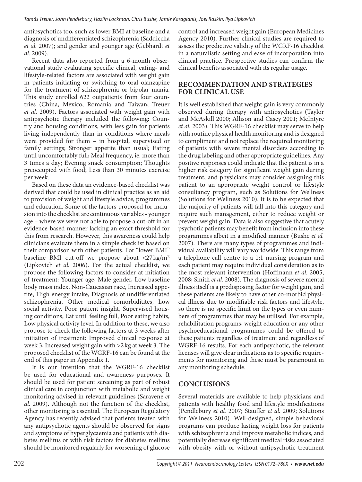antipsychotics too, such as lower BMI at baseline and a diagnosis of undifferentiated schizophrenia (Saddiccha *et al.* 2007); and gender and younger age (Gebhardt *et al.* 2009).

Recent data also reported from a 6-month observational study evaluating specific clinical, eating- and lifestyle-related factors are associated with weight gain in patients initiating or switching to oral olanzapine for the treatment of schizophrenia or bipolar mania. This study enrolled 622 outpatients from four countries (China, Mexico, Romania and Taiwan; Treuer *et al.* 2009). Factors associated with weight gain with antipsychotic therapy included the following: Country and housing conditions, with less gain for patients living independently than in conditions where meals were provided for them – in hospital, supervised or family settings; Stronger appetite than usual; Eating until uncomfortably full; Meal frequency, ie. more than 3 times a day; Evening snack consumption; Thoughts preoccupied with food; Less than 30 minutes exercise per week.

Based on these data an evidence-based checklist was derived that could be used in clinical practice as an aid to provision of weight and lifestyle advice, programmes and education. Some of the factors proposed for inclusion into the checklist are continuous variables - younger age – where we were not able to propose a cut-off in an evidence-based manner lacking an exact threshold for this from research. However, this awareness could help clinicians evaluate them in a simple checklist based on their comparison with other patients. For "lower BMI" baseline BMI cut-off we propose about <27 kg/m2 (Lipkovich *et al.* 2006). For the actual checklist, we propose the following factors to consider at initiation of treatment: Younger age, Male gender, Low baseline body mass index, Non-Caucasian race, Increased appetite, High energy intake, Diagnosis of undifferentiated schizophrenia, Other medical comorbiditites, Low social activity, Poor patient insight, Supervised housing conditions, Eat until feeling full, Poor eating habits, Low physical activity level. In addition to these, we also propose to check the following factors at 3 weeks after initiation of treatment: Improved clinical response at week 3, Increased weight gain with  $\geq$ 2 kg at week 3. The proposed checklist of the WGRF-16 can be found at the end of this paper in Appendix 1.

It is our intention that the WGRF-16 checklist be used for educational and awareness purposes. It should be used for patient screening as part of robust clinical care in conjunction with metabolic and weight monitoring advised in relevant guidelines (Saravene *et al.* 2009). Although not the function of the checklist, other monitoring is essential. The European Regulatory Agency has recently advised that patients treated with any antipsychotic agents should be observed for signs and symptoms of hyperglycaemia and patients with diabetes mellitus or with risk factors for diabetes mellitus should be monitored regularly for worsening of glucose

control and increased weight gain (European Medicines Agency 2010). Further clinical studies are required to assess the predictive validity of the WGRF-16 checklist in a naturalistic setting and ease of incorporation into clinical practice. Prospective studies can confirm the clinical benefits associated with its regular usage.

# **RECOMMENDATION AND STRATEGIES FOR CLINICAL USE**

It is well established that weight gain is very commonly observed during therapy with antipsychotics (Taylor and McAskill 2000; Allison and Casey 2001; McIntyre *et al.* 2003). This WGRF-16 checklist may serve to help with routine physical health monitoring and is designed to compliment and not replace the required monitoring of patients with severe mental disorders according to the drug labeling and other appropriate guidelines. Any positive responses could indicate that the patient is in a higher risk category for significant weight gain during treatment, and physicians may consider assigning this patient to an appropriate weight control or lifestyle consultancy program, such as Solutions for Wellness (Solutions for Wellness 2010). It is to be expected that the majority of patients will fall into this category and require such management, either to reduce weight or prevent weight gain. Data is also suggestive that acutely psychotic patients may benefit from inclusion into these programmes albeit in a modified manner (Bushe *et al.* 2007). There are many types of programmes and individual availability will vary worldwide. This range from a telephone call centre to a 1:1 nursing program and each patient may require individual consideration as to the most relevant intervention (Hoffmann *et al.* 2005, 2008; Smith *et al.* 2008). The diagnosis of severe mental illness itself is a predisposing factor for weight gain, and these patients are likely to have other co-morbid physical illness due to modifiable risk factors and lifestyle, so there is no specific limit on the types or even numbers of programmes that may be utilised. For example, rehabilitation programs, weight education or any other psychoeducational programmes could be offered to these patients regardless of treatment and regardless of WGRF-16 results. For each antipsychotic, the relevant licenses will give clear indications as to specific requirements for monitoring and these must be paramount in any monitoring schedule.

# **CONCLUSIONS**

Several materials are available to help physicians and patients with healthy food and lifestyle modifications (Pendlebury *et al.* 2007; Stauffer *et al.* 2009; Solutions for Wellness 2010). Well-designed, simple behavioral programs can produce lasting weight loss for patients with schizophrenia and improve metabolic indices, and potentially decrease significant medical risks associated with obesity with or without antipsychotic treatment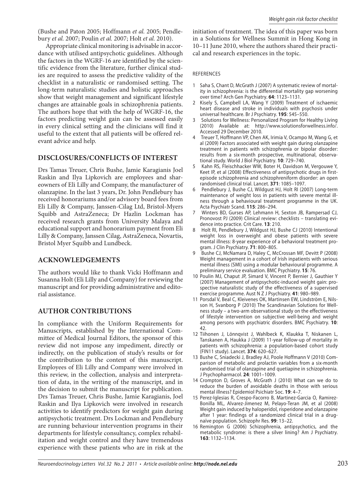(Bushe and Paton 2005; Hoffmann *et al.* 2005; Pendlebury *et al.* 2007; Poulin *et al.* 2007; Holt *et al.* 2010).

Appropriate clinical monitoring is advisable in accordance with utilised antipsychotic guidelines. Although the factors in the WGRF-16 are identified by the scientific evidence from the literature, further clinical studies are required to assess the predictive validity of the checklist in a naturalistic or randomised setting. The long-term naturalistic studies and holistic approaches show that weight management and significant lifestyle changes are attainable goals in schizophrenia patients. The authors hope that with the help of WGRF-16, the factors predicting weight gain can be assessed easily in every clinical setting and the clinicians will find it useful to the extent that all patients will be offered relevant advice and help.

# **DISCLOSURES/CONFLICTS OF INTEREST**

Drs Tamas Treuer, Chris Bushe, Jamie Karagianis Joel Raskin and Ilya Lipkovich are employees and shareowners of Eli Lilly and Company, the manufacturer of olanzapine. In the last 3 years, Dr. John Pendlebury has received honorariums and/or advisory board fees from Eli Lilly & Company, Janssen-Cilag Ltd, Bristol-Myers Squibb and AstraZeneca; Dr Hazlin Lockman has received research grants from University Malaya and educational support and honorarium payment from Eli Lilly & Company, Janssen Cilag, AstraZeneca, Novartis, Bristol Myer Squibb and Lundbeck.

# **ACKNOWLEDGEMENTS**

The authors would like to thank Vicki Hoffmann and Susanna Holt (Eli Lilly and Company) for reviewing the manuscript and for providing administrative and editorial assistance.

# **AUTHOR CONTRIBUTIONS**

In compliance with the Uniform Requirements for Manuscripts, established by the International Committee of Medical Journal Editors, the sponsor of this review did not impose any impediment, directly or indirectly, on the publication of study's results or for the contribution to the content of this manuscript. Employees of Eli Lilly and Company were involved in this review, in the collection, analysis and interpretation of data, in the writing of the manuscript, and in the decision to submit the manuscript for publication. Drs Tamas Treuer, Chris Bushe, Jamie Karagianis, Joel Raskin and Ilya Lipkovich were involved in research activities to identify predictors for weight gain during antipsychotic treatment. Drs Lockman and Pendlebury are running behaviour intervention programs in their departments for lifestyle consultancy, complex rehabilitation and weight control and they have tremendous experience with these patients who are in risk at the

initiation of treatment. The idea of this paper was born in a Solutions for Wellness Summit in Hong Kong in 10–11 June 2010, where the authors shared their practical and research experiences in the topic.

### REFERENCES

- 1 Saha S, Chant D, McGrath J (2007) A systematic review of mortality in schizophrenia: is the differential mortality gap worsening over time? Arch Gen Psychiatry. **64**: 1123–1131.
- 2 Kisely S, Campbell LA, Wang Y (2009) Treatment of ischaemic heart disease and stroke in individuals with psychosis under universal healthcare. Br J Psychiatry. **195**: 545–550.
- 3 Solutions for Wellness: Personalized Program for Healthy Living (2010) Available at: http://www.solutionsforwellness.info/. Accessed 29 December 2010.
- Treuer T, Hoffmann VP, Chen AK, Irimia V, Ocampo M, Wang G, et al (2009) Factors associated with weight gain during olanzapine treatment in patients with schizophrenia or bipolar disorder: results from a six-month prospective, multinational, observational study. World J Biol Psychiatry. **10**: 729–740.
- 5 Kahn RS, Fleischhacker WW, Boter H, Davidson M, Vergouwe Y, Keet IP, et al (2008) Effectiveness of antipsychotic drugs in firstepisode schizophrenia and schizophreniform disorder: an open randomised clinical trial. Lancet. **371**: 1085–1097.
- Pendlebury J, Bushe CJ, Wildgust HJ, Holt RI (2007) Long-term maintenance of weight loss in patients with severe mental illness through a behavioural treatment programme in the UK. Acta Psychiatr Scand. **115**: 286–294.
- 7 Winters BD, Gurses AP, Lehmann H, Sexton JB, Rampersad CJ, Pronovost PJ (2009) Clinical review: checklists – translating evidence into practice. Crit Care. **13**: 210.
- Holt RI, Pendlebury J, Wildgust HJ, Bushe CJ (2010) Intentional weight loss in overweight and obese patients with severe mental illness: 8-year experience of a behavioral treatment program. J Clin Psychiatry. **71**: 800–805.
- Bushe CJ, McNamara D, Haley C, McCrossan MF, Devitt P (2008) Weight management in a cohort of Irish inpatients with serious mental illness (SMI) using a modular behavioural programme. A preliminary service evaluation. BMC Psychiatry. **15**: 76.
- 10 Poulin MJ, Chaput JP, Simard V, Vincent P, Bernier J, Gauthier Y (2007) Management of antipsychotic-induced weight gain: prospective naturalistic study of the effectiveness of a supervised exercise programme. Aust N Z J Psychiatry. **41**: 980–989.
- 11 Porsdal V, Beal C, Kleivenes OK, Martinsen EW, Lindström E, Nilsson H, Svanborg P (2010) The Scandinavian Solutions for Wellness study – a two-arm observational study on the effectiveness of lifestyle intervention on subjective well-being and weight among persons with psychiatric disorders. BMC Psychiatry. **10**: 42.
- 12 Tiihonen J, Lönnqvist J, Wahlbeck K, Klaukka T, Niskanen L, Tanskanen A, Haukka J (2009) 11-year follow-up of mortality in patients with schizophrenia: a population-based cohort study (FIN11 study). Lancet. **374**: 620–627.
- 13 Bushe C, Sniadecki J, Bradley AJ, Poole Hoffmann V (2010) Comparison of metabolic and prolactin variables from a six-month randomised trial of olanzapine and quetiapine in schizophrenia. J Psychopharmacol. **24**: 1001–1009.
- 14 Crompton D, Groves A, McGrath J (2010) What can we do to reduce the burden of avoidable deaths in those with serious mental illness? Epidemiol Psichiatr Soc. **19**: 4–7.
- 15 Perez-Iglesias R, Crespo-Facorro B, Martinez-Garcia O, Ramirez-Bonilla ML, Alvarez-Jimenez M, Pelayo-Teran JM, et al (2008) Weight gain induced by haloperidol, risperidone and olanzapine after 1 year: findings of a randomized clinical trial in a drugnaïve population. Schizophr Res. **99**: 13–22.
- 16 Remington G (2006) Schizophrenia, antipsychotics, and the metabolic syndrome: is there a silver lining? Am J Psychiatry. **163**: 1132–1134.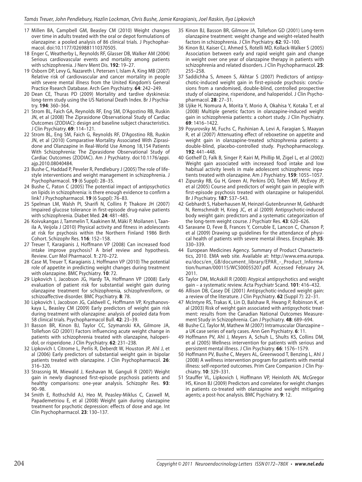- 17 Millen BA, Campbell GM, Beasley CM (2010) Weight changes over time in adults treated with the oral or depot formulations of olanzapine: a pooled analysis of 86 clinical trials. J Psychopharmacol. doi:10.1177/0269881110370505.
- 18 Enger C, Weatherby L, Reynolds RF, Glasser DB, Walker AM (2004) Serious cardiovascular events and mortality among patients with schizophrenia. J Nerv Ment Dis. **192**: 19–27.
- 19 Osborn DP, Levy G, Nazareth I, Petersen I, Islam A, King MB (2007) Relative risk of cardiovascular and cancer mortality in people with severe mental illness from the United Kingdom's General Practice Rsearch Database. Arch Gen Psychiatry. **64**: 242–249.
- 20 Dean CE, Thuras PD (2009) Mortality and tardive dyskinesia: long-term study using the US National Death Index. Br J Psychiatry. **194**: 360–364.
- 21 Strom BL, Faich GA, Reynolds RF, Eng SM, D'Agostino RB, Ruskin JN, et al (2008) The Ziprasidone Observational Study of Cardiac Outcomes (ZODIAC): design and baseline subject characteristics. J Clin Psychiatry. **69**: 114–121.
- 22 Strom BL, Eng SM, Faich G, Reynolds RF, D'Agostino RB, Ruskin JN, et al (2010) Comparative Mortality Associated With Ziprasidone and Olanzapine in Real-World Use Among 18,154 Patients With Schizophrenia: The Ziprasidone Observational Study of Cardiac Outcomes (ZODIAC). Am J Psychiatry. doi:10.1176/appi. ajp.2010.08040484.
- 23 Bushe C, Haddad P, Peveler R, Pendlebury J (2005) The role of lifestyle interventions and weight management in schizophrenia. J Psychopharmacol. **19** (6 Suppl): 28–35.
- 24 Bushe C, Paton C (2005) The potential impact of antipsychotics on lipids in schizophrenia: is there enough evidence to confirm a link? J Psychopharmacol. **19** (6 Suppl): 76–83.
- 25 Spelman LM, Walsh PI, Sharifi N, Collins P, Thakore JH (2007) Impaired glucose tolerance in first-episode drug-naïve patients with schizophrenia. Diabet Med. **24**: 481–485.
- 26 Koivukangas J, Tammelin T, Kaakinen M, Mäki P, Moilanen I, Taanila A, Veijola J (2010) Physical activity and fitness in adolescents at risk for psychosis within the Northern Finland 1986 Birth Cohort. Schizophr Res. **116**: 152–158.
- 27 Treuer T, Karagianis J, Hoffmann VP (2008) Can increased food intake improve psychosis? A brief review and hypothesis. Review. Curr Mol Pharmacol. **1**: 270–272.
- 28 Case M, Treuer T, Karagianis J, Hoffmann VP (2010) The potential role of appetite in predicting weight changes during treatment with olanzapine. BMC Psychiatry. **10**: 72.
- 29 Lipkovich I, Jacobson JG, Hardy TA, Hoffmann VP (2008) Early evaluation of patient risk for substantial weight gain during olanzapine treatment for schizophrenia, schizophreniform, or schizoaffective disorder. BMC Psychiatry. **8**: 78.
- 30 Lipkovich I, Jacobson JG, Caldwell C, Hoffmann VP, Kryzhanovskaya L, Beasley CM (2009) Early predictors of weight gain risk during treatment with olanzapine: analysis of pooled data from 58 clinical trials. Psychopharmacol Bull. **42**: 23–39.
- 31 Basson BR, Kinon BJ, Taylor CC, Szymanski KA, Gilmore JA, Tollefson GD (2001) Factors influencing acute weight change in patients with schizophrenia treated with olanzapine, haloperidol, or risperidone. J Clin Psychiatry. **62**: 231–238.
- 32 Lipkovich I, Citrome L, Perlis R, Deberdt W, Houston JP, Ahl J, et al (2006) Early predictors of substantial weight gain in bipolar patients treated with olanzapine. J Clin Psychopharmacol. **26**: 316–320.
- 33 Strassnig M, Miewald J, Keshavan M, Ganguli R (2007) Weight gain in newly diagnosed first-episode psychosis patients and healthy comparisons: one-year analysis. Schizophr Res. **93**: 90–98.
- 34 Smith E, Rothschild AJ, Heo M, Peasley-Miklus C, Caswell M, Papademetriou E, et al (2008) Weight gain during olanzapine treatment for psychotic depression: effects of dose and age. Int Clin Psychopharmacol. **23**: 130–137.
- 35 Kinon BJ, Basson BR, Gilmore JA, Tollefson GD (2001) Long-term olanzapine treatment: weight change and weight-related health factors in schizophrenia. J Clin Psychiatry. **62**: 92–100.
- 36 Kinon BJ, Kaiser CJ, Ahmed S, Rotelli MD, Kollack-Walker S (2005) Association between early and rapid weight gain and change in weight over one year of olanzapine therapy in patients with schizophrenia and related disorders. J Clin Psychopharmacol. **25**: 255–258.
- 37 Saddichha S, Ameen S, Akhtar S (2007) Predictors of antipsychotic-induced weight gain in first-episode psychosis: conclusions from a randomised, double-blind, controlled prospective study of olanzapine, risperidone, and haloperidol. J Clin Psychopharmacol. **28**: 27–31.
- 38 Ujike H, Nomura A, Morita Y, Morio A, Okahisa Y, Kotaka T, et al (2008) Multiple genetic factors in olanzapine-induced weight gain in schizophrenia patients: a cohort study. J Clin Psychiatry. **69**: 1416–1422.
- 39 Poyurovsky M, Fuchs C, Pashinian A, Levi A, Faragian S, Maayan R, et al (2007) Attenuating effect of reboxetine on appetite and weight gain in olanzapine-treated schizophrenia patients: a double-blind, placebo-controlled study. Psychopharmacology. **192**: 441–448.
- 40 Gothelf D, Falk B, Singer P, Kairi M, Phillip M, Zigel L, et al (2002) Weight gain associated with increased food intake and low habitual activity levels in male adolescent schizophrenic inpatients treated with olanzapine. Am J Psychiatry. **159**: 1055–1057.
- 41 Zipursky RB, Gu H, Green AI, Perkins DO, Tohen MF, McEvoy JP, et al (2005) Course and predictors of weight gain in people with first-episode psychosis treated with olanzapine or haloperidol. Br J Psychiatry. **187**: 537–543.
- 42 Gebhardt S, Haberhausen M, Heinzel-Gutenbrunner M, Gebhardt N, Remschmidt H, Krieg JC, et al (2009) Antipsychotic-induced body weight gain: predictors and a systematic categorization of the long-term weight course. J Psychiatr Res. **43**: 620–626.
- 43 Saravane D, Feve B, Frances Y, Corruble E, Lancon C, Chanson P, et al (2009) Drawing up guidelines for the attendance of physical health of patients with severe mental illness. Encephale. **35**: 330–339.
- 44 European Medicines Agency. Summary of Product Characteristics, 2010. EMA web site. Available at: http://www.ema.europa. eu/docs/en\_GB/document\_library/EPAR\_-\_Product\_Information/human/000115/WC500055207.pdf. Accessed February 24, 2011.
- 45 Taylor DM, McAskill R (2000) Atypical antipsychotics and weight gain – a systematic review. Acta Psychiatr Scand. **101**: 416–432.
- 46 Allison DB, Casey DE (2001) Antipsychotic-induced weight gain: a review of the literature. J Clin Psychiatry. **62** (Suppl 7): 22–31.
- 47 McIntyre RS, Trakas K, Lin D, Balshaw R, Hwang P, Robinson K, et al (2003) Risk of weight gain associated with antipsychotic treatment: results from the Canadian National Outcomes Measurement Study in Schizophrenia. Can J Psychiatry. **48**: 689–694.
- 48 Bushe CJ, Taylor M, Mathew M (2007) Intramuscular Olanzapine a UK case series of early cases. Ann Gen Psychiatry. **6**: 11.
- 49 Hoffmann PV, Ahl J, Meyers A, Schuh L, Shults KS, Collins DM, et al (2005) Wellness intervention for patients with serious and persistent mental illness. J Clin Psychiatry. **66**: 1576–1579.
- 50 Hoffmann PV, Bushe C, Meyers AL, Greenwood T, Benzing L, Ahl J (2008) A wellness intervention program for patients with mental illness: self-reported outcomes. Prim Care Companion J Clin Psychiatry. **10**: 329–331.
- 51 Stauffer VL, Lipkovich I, Hoffmann VP, Heinloth AN, McGregor HS, Kinon BJ (2009) Predictors and correlates for weight changes in patients co-treated with olanzapine and weight mitigating agents; a post-hoc analysis. BMC Psychiatry. **9**: 12.